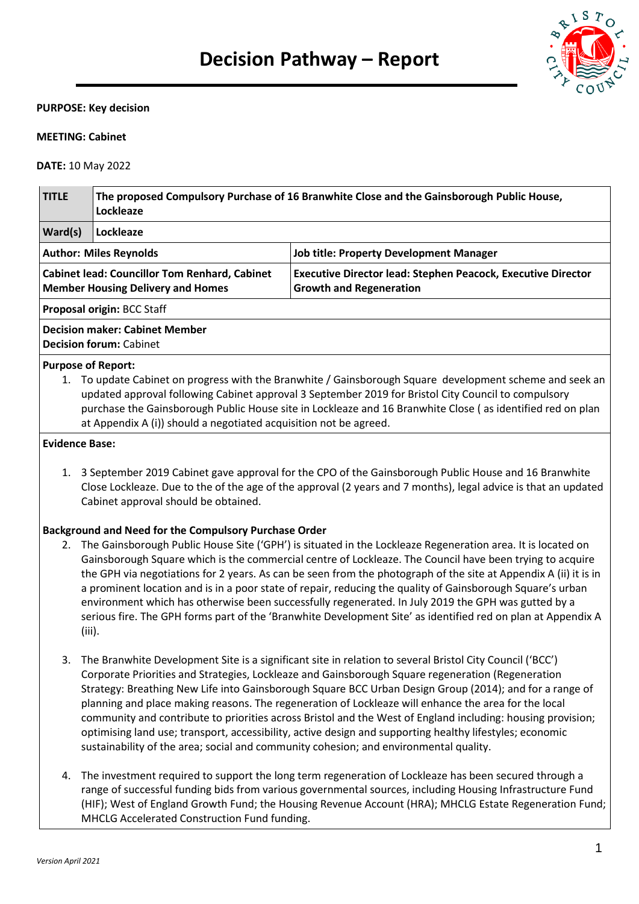

#### **PURPOSE: Key decision**

#### **MEETING: Cabinet**

**DATE:** 10 May 2022

| The proposed Compulsory Purchase of 16 Branwhite Close and the Gainsborough Public House,<br>Lockleaze |                                                                                                                                                                                                |  |  |  |
|--------------------------------------------------------------------------------------------------------|------------------------------------------------------------------------------------------------------------------------------------------------------------------------------------------------|--|--|--|
| Lockleaze                                                                                              |                                                                                                                                                                                                |  |  |  |
|                                                                                                        | <b>Job title: Property Development Manager</b>                                                                                                                                                 |  |  |  |
|                                                                                                        | <b>Executive Director lead: Stephen Peacock, Executive Director</b><br><b>Growth and Regeneration</b>                                                                                          |  |  |  |
| <b>Proposal origin: BCC Staff</b>                                                                      |                                                                                                                                                                                                |  |  |  |
|                                                                                                        |                                                                                                                                                                                                |  |  |  |
|                                                                                                        | <b>Author: Miles Reynolds</b><br><b>Cabinet lead: Councillor Tom Renhard, Cabinet</b><br><b>Member Housing Delivery and Homes</b><br>Decision maker: Cabinet Member<br>Decision forum: Cabinet |  |  |  |

#### **Purpose of Report:**

1. To update Cabinet on progress with the Branwhite / Gainsborough Square development scheme and seek an updated approval following Cabinet approval 3 September 2019 for Bristol City Council to compulsory purchase the Gainsborough Public House site in Lockleaze and 16 Branwhite Close ( as identified red on plan at Appendix A (i)) should a negotiated acquisition not be agreed.

#### **Evidence Base:**

1. 3 September 2019 Cabinet gave approval for the CPO of the Gainsborough Public House and 16 Branwhite Close Lockleaze. Due to the of the age of the approval (2 years and 7 months), legal advice is that an updated Cabinet approval should be obtained.

## **Background and Need for the Compulsory Purchase Order**

- 2. The Gainsborough Public House Site ('GPH') is situated in the Lockleaze Regeneration area. It is located on Gainsborough Square which is the commercial centre of Lockleaze. The Council have been trying to acquire the GPH via negotiations for 2 years. As can be seen from the photograph of the site at Appendix A (ii) it is in a prominent location and is in a poor state of repair, reducing the quality of Gainsborough Square's urban environment which has otherwise been successfully regenerated. In July 2019 the GPH was gutted by a serious fire. The GPH forms part of the 'Branwhite Development Site' as identified red on plan at Appendix A (iii).
- 3. The Branwhite Development Site is a significant site in relation to several Bristol City Council ('BCC') Corporate Priorities and Strategies, Lockleaze and Gainsborough Square regeneration (Regeneration Strategy: Breathing New Life into Gainsborough Square BCC Urban Design Group (2014); and for a range of planning and place making reasons. The regeneration of Lockleaze will enhance the area for the local community and contribute to priorities across Bristol and the West of England including: housing provision; optimising land use; transport, accessibility, active design and supporting healthy lifestyles; economic sustainability of the area; social and community cohesion; and environmental quality.
- 4. The investment required to support the long term regeneration of Lockleaze has been secured through a range of successful funding bids from various governmental sources, including Housing Infrastructure Fund (HIF); West of England Growth Fund; the Housing Revenue Account (HRA); MHCLG Estate Regeneration Fund; MHCLG Accelerated Construction Fund funding.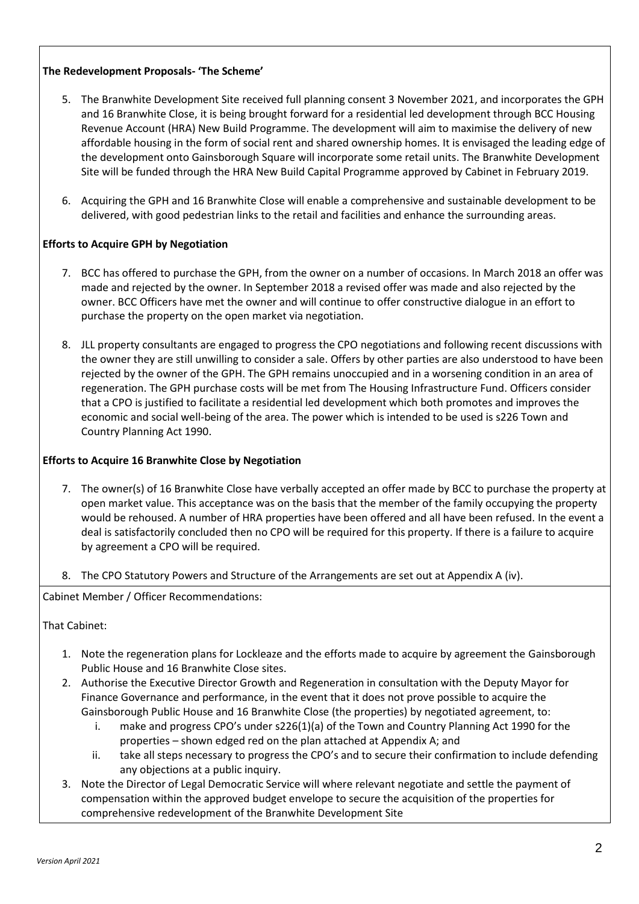# **The Redevelopment Proposals- 'The Scheme'**

- 5. The Branwhite Development Site received full planning consent 3 November 2021, and incorporates the GPH and 16 Branwhite Close, it is being brought forward for a residential led development through BCC Housing Revenue Account (HRA) New Build Programme. The development will aim to maximise the delivery of new affordable housing in the form of social rent and shared ownership homes. It is envisaged the leading edge of the development onto Gainsborough Square will incorporate some retail units. The Branwhite Development Site will be funded through the HRA New Build Capital Programme approved by Cabinet in February 2019.
- 6. Acquiring the GPH and 16 Branwhite Close will enable a comprehensive and sustainable development to be delivered, with good pedestrian links to the retail and facilities and enhance the surrounding areas.

## **Efforts to Acquire GPH by Negotiation**

- 7. BCC has offered to purchase the GPH, from the owner on a number of occasions. In March 2018 an offer was made and rejected by the owner. In September 2018 a revised offer was made and also rejected by the owner. BCC Officers have met the owner and will continue to offer constructive dialogue in an effort to purchase the property on the open market via negotiation.
- 8. JLL property consultants are engaged to progress the CPO negotiations and following recent discussions with the owner they are still unwilling to consider a sale. Offers by other parties are also understood to have been rejected by the owner of the GPH. The GPH remains unoccupied and in a worsening condition in an area of regeneration. The GPH purchase costs will be met from The Housing Infrastructure Fund. Officers consider that a CPO is justified to facilitate a residential led development which both promotes and improves the economic and social well-being of the area. The power which is intended to be used is s226 Town and Country Planning Act 1990.

## **Efforts to Acquire 16 Branwhite Close by Negotiation**

- 7. The owner(s) of 16 Branwhite Close have verbally accepted an offer made by BCC to purchase the property at open market value. This acceptance was on the basis that the member of the family occupying the property would be rehoused. A number of HRA properties have been offered and all have been refused. In the event a deal is satisfactorily concluded then no CPO will be required for this property. If there is a failure to acquire by agreement a CPO will be required.
- 8. The CPO Statutory Powers and Structure of the Arrangements are set out at Appendix A (iv).

Cabinet Member / Officer Recommendations:

## That Cabinet:

- 1. Note the regeneration plans for Lockleaze and the efforts made to acquire by agreement the Gainsborough Public House and 16 Branwhite Close sites.
- 2. Authorise the Executive Director Growth and Regeneration in consultation with the Deputy Mayor for Finance Governance and performance, in the event that it does not prove possible to acquire the Gainsborough Public House and 16 Branwhite Close (the properties) by negotiated agreement, to:
	- i. make and progress CPO's under s226(1)(a) of the Town and Country Planning Act 1990 for the properties – shown edged red on the plan attached at Appendix A; and
	- ii. take all steps necessary to progress the CPO's and to secure their confirmation to include defending any objections at a public inquiry.
- 3. Note the Director of Legal Democratic Service will where relevant negotiate and settle the payment of compensation within the approved budget envelope to secure the acquisition of the properties for comprehensive redevelopment of the Branwhite Development Site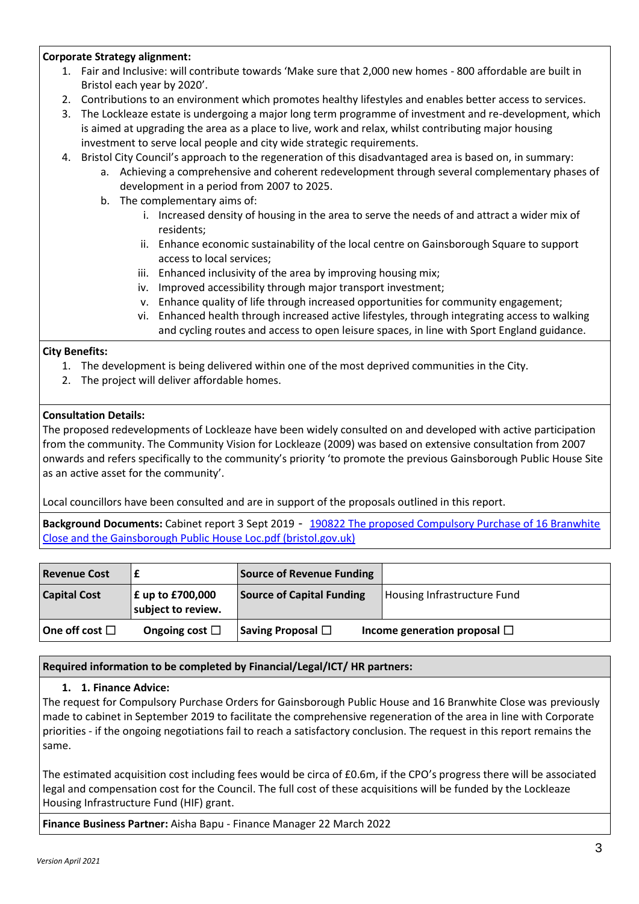## **Corporate Strategy alignment:**

- 1. Fair and Inclusive: will contribute towards 'Make sure that 2,000 new homes 800 affordable are built in Bristol each year by 2020'.
- 2. Contributions to an environment which promotes healthy lifestyles and enables better access to services.
- 3. The Lockleaze estate is undergoing a major long term programme of investment and re-development, which is aimed at upgrading the area as a place to live, work and relax, whilst contributing major housing investment to serve local people and city wide strategic requirements.
- 4. Bristol City Council's approach to the regeneration of this disadvantaged area is based on, in summary:
	- a. Achieving a comprehensive and coherent redevelopment through several complementary phases of development in a period from 2007 to 2025.
	- b. The complementary aims of:
		- i. Increased density of housing in the area to serve the needs of and attract a wider mix of residents;
		- ii. Enhance economic sustainability of the local centre on Gainsborough Square to support access to local services;
		- iii. Enhanced inclusivity of the area by improving housing mix;
		- iv. Improved accessibility through major transport investment;
		- v. Enhance quality of life through increased opportunities for community engagement;
		- vi. Enhanced health through increased active lifestyles, through integrating access to walking and cycling routes and access to open leisure spaces, in line with Sport England guidance.

## **City Benefits:**

- 1. The development is being delivered within one of the most deprived communities in the City.
- 2. The project will deliver affordable homes.

## **Consultation Details:**

The proposed redevelopments of Lockleaze have been widely consulted on and developed with active participation from the community. The Community Vision for Lockleaze (2009) was based on extensive consultation from 2007 onwards and refers specifically to the community's priority 'to promote the previous Gainsborough Public House Site as an active asset for the community'.

Local councillors have been consulted and are in support of the proposals outlined in this report.

**Background Documents:** Cabinet report 3 Sept 2019 - [190822 The proposed Compulsory Purchase of 16 Branwhite](https://eur03.safelinks.protection.outlook.com/?url=https%3A%2F%2Fdemocracy.bristol.gov.uk%2Fdocuments%2Fs40705%2F190822%2520The%2520proposed%2520Compulsory%2520Purchase%2520of%252016%2520Branwhite%2520Close%2520and%2520the%2520Gainsborough%2520Public%2520House%2520Loc.pdf&data=04%7C01%7C%7C13616d126ee0457ca4b508da05c87352%7C6378a7a50f214482aee0897eb7de331f%7C0%7C0%7C637828655718586276%7CUnknown%7CTWFpbGZsb3d8eyJWIjoiMC4wLjAwMDAiLCJQIjoiV2luMzIiLCJBTiI6Ik1haWwiLCJXVCI6Mn0%3D%7C3000&sdata=d58igyBw7L4xAczr1xts%2Bg8pJME4Vy2gL1L4pd17fRk%3D&reserved=0)  [Close and the Gainsborough Public House Loc.pdf \(bristol.gov.uk\)](https://eur03.safelinks.protection.outlook.com/?url=https%3A%2F%2Fdemocracy.bristol.gov.uk%2Fdocuments%2Fs40705%2F190822%2520The%2520proposed%2520Compulsory%2520Purchase%2520of%252016%2520Branwhite%2520Close%2520and%2520the%2520Gainsborough%2520Public%2520House%2520Loc.pdf&data=04%7C01%7C%7C13616d126ee0457ca4b508da05c87352%7C6378a7a50f214482aee0897eb7de331f%7C0%7C0%7C637828655718586276%7CUnknown%7CTWFpbGZsb3d8eyJWIjoiMC4wLjAwMDAiLCJQIjoiV2luMzIiLCJBTiI6Ik1haWwiLCJXVCI6Mn0%3D%7C3000&sdata=d58igyBw7L4xAczr1xts%2Bg8pJME4Vy2gL1L4pd17fRk%3D&reserved=0)

| <b>Revenue Cost</b> |                                        | <b>Source of Revenue Funding</b> |                                   |
|---------------------|----------------------------------------|----------------------------------|-----------------------------------|
| <b>Capital Cost</b> | £ up to £700,000<br>subject to review. | <b>Source of Capital Funding</b> | Housing Infrastructure Fund       |
| One off cost $\Box$ | Ongoing cost $\Box$                    | Saving Proposal $\Box$           | Income generation proposal $\Box$ |

## **Required information to be completed by Financial/Legal/ICT/ HR partners:**

## **1. 1. Finance Advice:**

The request for Compulsory Purchase Orders for Gainsborough Public House and 16 Branwhite Close was previously made to cabinet in September 2019 to facilitate the comprehensive regeneration of the area in line with Corporate priorities - if the ongoing negotiations fail to reach a satisfactory conclusion. The request in this report remains the same.

The estimated acquisition cost including fees would be circa of £0.6m, if the CPO's progress there will be associated legal and compensation cost for the Council. The full cost of these acquisitions will be funded by the Lockleaze Housing Infrastructure Fund (HIF) grant.

**Finance Business Partner:** Aisha Bapu - Finance Manager 22 March 2022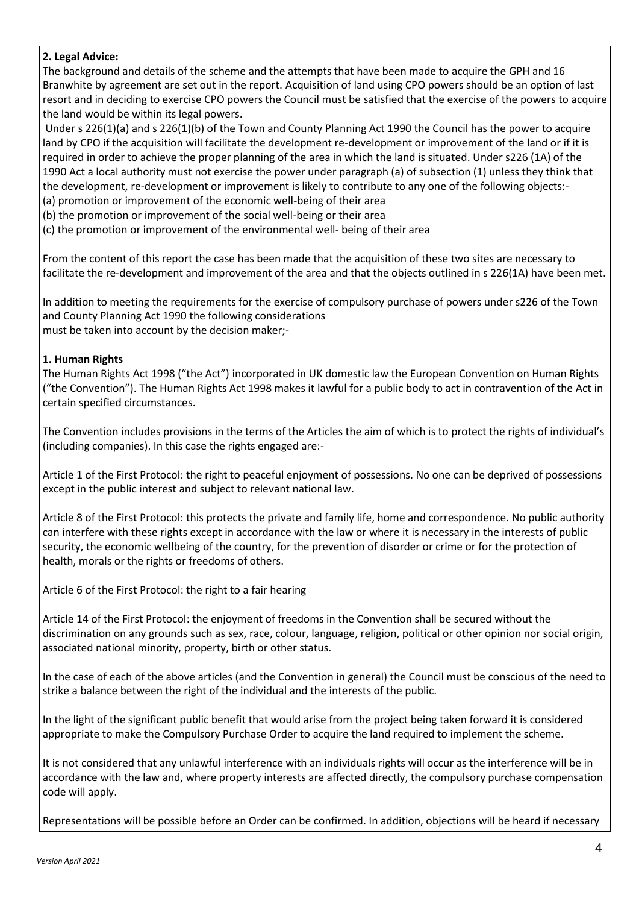# **2. Legal Advice:**

The background and details of the scheme and the attempts that have been made to acquire the GPH and 16 Branwhite by agreement are set out in the report. Acquisition of land using CPO powers should be an option of last resort and in deciding to exercise CPO powers the Council must be satisfied that the exercise of the powers to acquire the land would be within its legal powers.

Under s 226(1)(a) and s 226(1)(b) of the Town and County Planning Act 1990 the Council has the power to acquire land by CPO if the acquisition will facilitate the development re-development or improvement of the land or if it is required in order to achieve the proper planning of the area in which the land is situated. Under s226 (1A) of the 1990 Act a local authority must not exercise the power under paragraph (a) of subsection (1) unless they think that the development, re-development or improvement is likely to contribute to any one of the following objects:-

(a) promotion or improvement of the economic well-being of their area

(b) the promotion or improvement of the social well-being or their area

(c) the promotion or improvement of the environmental well- being of their area

From the content of this report the case has been made that the acquisition of these two sites are necessary to facilitate the re-development and improvement of the area and that the objects outlined in s 226(1A) have been met.

In addition to meeting the requirements for the exercise of compulsory purchase of powers under s226 of the Town and County Planning Act 1990 the following considerations must be taken into account by the decision maker;-

## **1. Human Rights**

The Human Rights Act 1998 ("the Act") incorporated in UK domestic law the European Convention on Human Rights ("the Convention"). The Human Rights Act 1998 makes it lawful for a public body to act in contravention of the Act in certain specified circumstances.

The Convention includes provisions in the terms of the Articles the aim of which is to protect the rights of individual's (including companies). In this case the rights engaged are:-

Article 1 of the First Protocol: the right to peaceful enjoyment of possessions. No one can be deprived of possessions except in the public interest and subject to relevant national law.

Article 8 of the First Protocol: this protects the private and family life, home and correspondence. No public authority can interfere with these rights except in accordance with the law or where it is necessary in the interests of public security, the economic wellbeing of the country, for the prevention of disorder or crime or for the protection of health, morals or the rights or freedoms of others.

Article 6 of the First Protocol: the right to a fair hearing

Article 14 of the First Protocol: the enjoyment of freedoms in the Convention shall be secured without the discrimination on any grounds such as sex, race, colour, language, religion, political or other opinion nor social origin, associated national minority, property, birth or other status.

In the case of each of the above articles (and the Convention in general) the Council must be conscious of the need to strike a balance between the right of the individual and the interests of the public.

In the light of the significant public benefit that would arise from the project being taken forward it is considered appropriate to make the Compulsory Purchase Order to acquire the land required to implement the scheme.

It is not considered that any unlawful interference with an individuals rights will occur as the interference will be in accordance with the law and, where property interests are affected directly, the compulsory purchase compensation code will apply.

Representations will be possible before an Order can be confirmed. In addition, objections will be heard if necessary